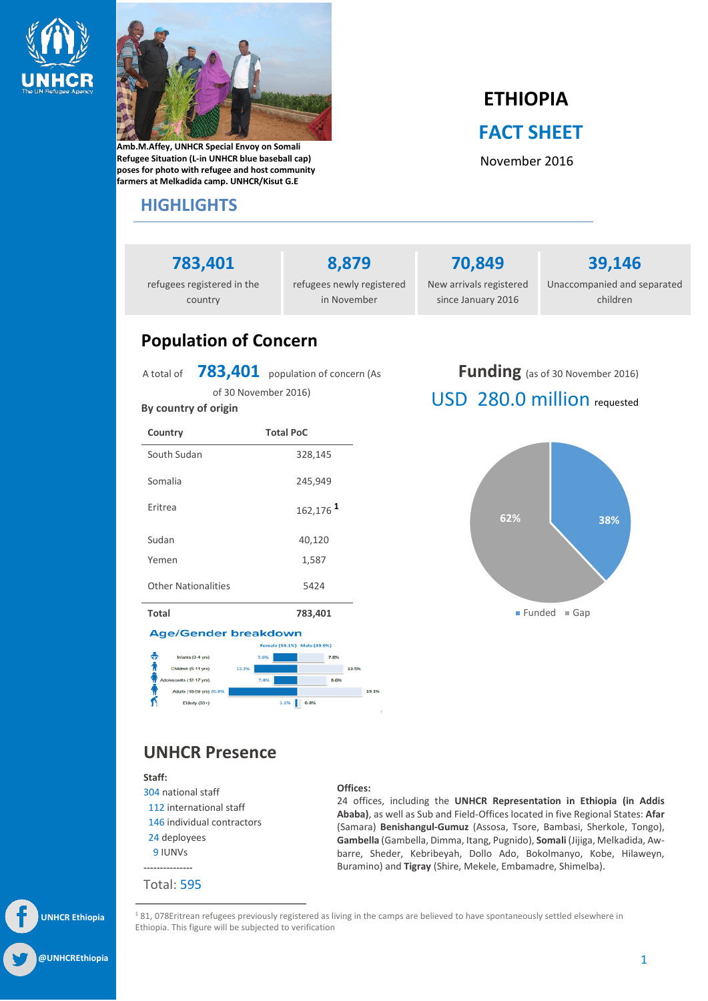



**Amb.M.Affey, UNHCR Special Envoy on Somali Refugee Situation (L-in UNHCR blue baseball cap) poses for photo with refugee and host community farmers at Melkadida camp. UNHCR/Kisut G.E**

### **HIGHLIGHTS**

# **ETHIOPIA FACT SHEET**

November 2016

## **783,401**

refugees registered in the country

**8,879** refugees newly registered in November

**70,849** New arrivals registered since January 2016

**39,146**

Unaccompanied and separated children

## **Population of Concern**

A total of **783,401** population of concern (As of 30 November 2016)

**By country of origin Country Total PoC** South Sudan 328.145 Somalia 245,949 Eritrea 162,176 **<sup>1</sup>** Sudan Yemen 40,120 1,587 Other Nationalities 5424

**Funding** (as of 30 November 2016) USD 280.0 million requested



**Total 783,401**

#### **Age/Gender breakdown**



### **UNHCR Presence**

#### **Staff:**

- 304 national staff 112 international staff 146 individual contractors
- 24 deployees
- 9 IUNVs
- ---------------

Total: 595

l

#### **Offices:**

24 offices, including the **UNHCR Representation in Ethiopia (in Addis Ababa)**, as well as Sub and Field-Offices located in five Regional States: **Afar** (Samara) **Benishangul-Gumuz** (Assosa, Tsore, Bambasi, Sherkole, Tongo), **Gambella** (Gambella, Dimma, Itang, Pugnido), **Somali** (Jijiga, Melkadida, Awbarre, Sheder, Kebribeyah, Dollo Ado, Bokolmanyo, Kobe, Hilaweyn, Buramino) and **Tigray** (Shire, Mekele, Embamadre, Shimelba).

<sup>1</sup>81, 078Eritrean refugees previously registered as living in the camps are believed to have spontaneously settled elsewhere in Ethiopia. This figure will be subjected to verification

**UNHCR Ethiopia @UNHCREthiopia**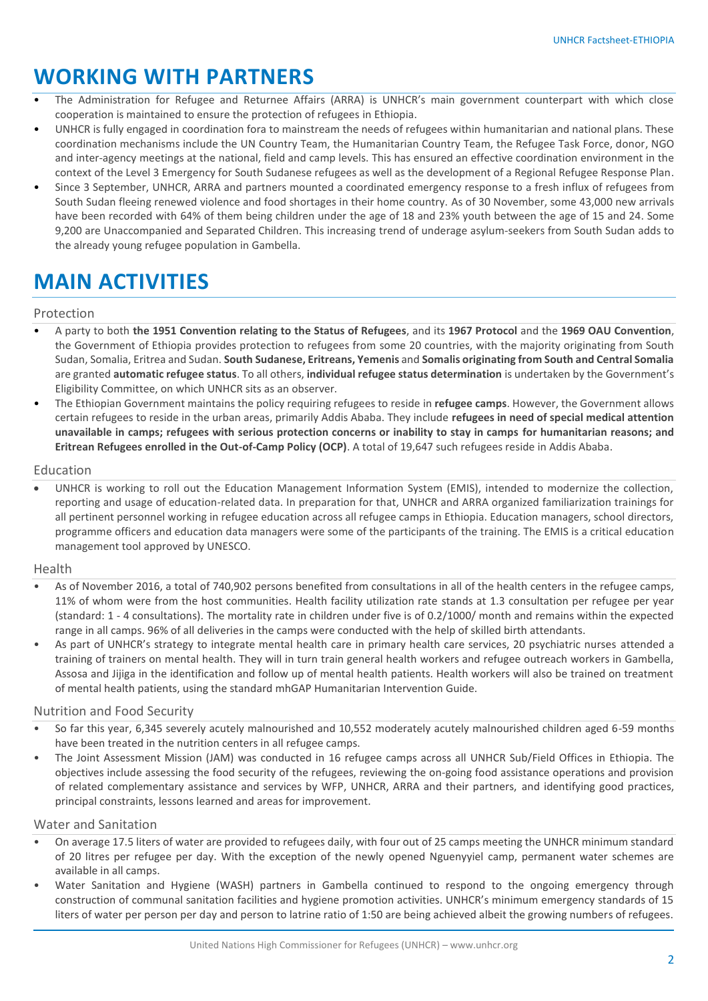## **WORKING WITH PARTNERS**

- The Administration for Refugee and Returnee Affairs (ARRA) is UNHCR's main government counterpart with which close cooperation is maintained to ensure the protection of refugees in Ethiopia.
- UNHCR is fully engaged in coordination fora to mainstream the needs of refugees within humanitarian and national plans. These coordination mechanisms include the UN Country Team, the Humanitarian Country Team, the Refugee Task Force, donor, NGO and inter-agency meetings at the national, field and camp levels. This has ensured an effective coordination environment in the context of the Level 3 Emergency for South Sudanese refugees as well as the development of a Regional Refugee Response Plan.
- Since 3 September, UNHCR, ARRA and partners mounted a coordinated emergency response to a fresh influx of refugees from South Sudan fleeing renewed violence and food shortages in their home country. As of 30 November, some 43,000 new arrivals have been recorded with 64% of them being children under the age of 18 and 23% youth between the age of 15 and 24. Some 9,200 are Unaccompanied and Separated Children. This increasing trend of underage asylum-seekers from South Sudan adds to the already young refugee population in Gambella.

## **MAIN ACTIVITIES**

#### Protection

- A party to both **the 1951 Convention relating to the Status of Refugees**, and its **1967 Protocol** and the **1969 OAU Convention**, the Government of Ethiopia provides protection to refugees from some 20 countries, with the majority originating from South Sudan, Somalia, Eritrea and Sudan. **South Sudanese, Eritreans, Yemenis** and **Somalis originating from South and Central Somalia** are granted **automatic refugee status**. To all others, **individual refugee status determination** is undertaken by the Government's Eligibility Committee, on which UNHCR sits as an observer.
- The Ethiopian Government maintains the policy requiring refugees to reside in **refugee camps**. However, the Government allows certain refugees to reside in the urban areas, primarily Addis Ababa. They include **refugees in need of special medical attention unavailable in camps; refugees with serious protection concerns or inability to stay in camps for humanitarian reasons; and Eritrean Refugees enrolled in the Out-of-Camp Policy (OCP)**. A total of 19,647 such refugees reside in Addis Ababa.

#### Education

 UNHCR is working to roll out the Education Management Information System (EMIS), intended to modernize the collection, reporting and usage of education-related data. In preparation for that, UNHCR and ARRA organized familiarization trainings for all pertinent personnel working in refugee education across all refugee camps in Ethiopia. Education managers, school directors, programme officers and education data managers were some of the participants of the training. The EMIS is a critical education management tool approved by UNESCO.

#### Health

- As of November 2016, a total of 740,902 persons benefited from consultations in all of the health centers in the refugee camps, 11% of whom were from the host communities. Health facility utilization rate stands at 1.3 consultation per refugee per year (standard: 1 - 4 consultations). The mortality rate in children under five is of 0.2/1000/ month and remains within the expected range in all camps. 96% of all deliveries in the camps were conducted with the help of skilled birth attendants.
- As part of UNHCR's strategy to integrate mental health care in primary health care services, 20 psychiatric nurses attended a training of trainers on mental health. They will in turn train general health workers and refugee outreach workers in Gambella, Assosa and Jijiga in the identification and follow up of mental health patients. Health workers will also be trained on treatment of mental health patients, using the standard mhGAP Humanitarian Intervention Guide.

#### Nutrition and Food Security

- So far this year, 6,345 severely acutely malnourished and 10,552 moderately acutely malnourished children aged 6-59 months have been treated in the nutrition centers in all refugee camps.
- The Joint Assessment Mission (JAM) was conducted in 16 refugee camps across all UNHCR Sub/Field Offices in Ethiopia. The objectives include assessing the food security of the refugees, reviewing the on-going food assistance operations and provision of related complementary assistance and services by WFP, UNHCR, ARRA and their partners, and identifying good practices, principal constraints, lessons learned and areas for improvement.

#### Water and Sanitation

- On average 17.5 liters of water are provided to refugees daily, with four out of 25 camps meeting the UNHCR minimum standard of 20 litres per refugee per day. With the exception of the newly opened Nguenyyiel camp, permanent water schemes are available in all camps.
- Water Sanitation and Hygiene (WASH) partners in Gambella continued to respond to the ongoing emergency through construction of communal sanitation facilities and hygiene promotion activities. UNHCR's minimum emergency standards of 15 liters of water per person per day and person to latrine ratio of 1:50 are being achieved albeit the growing numbers of refugees.